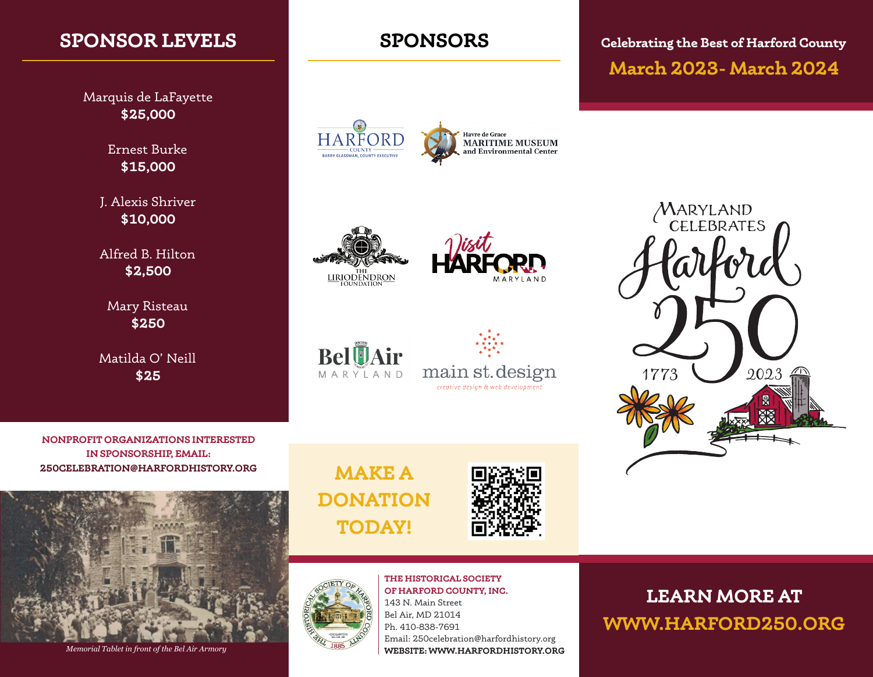# **SPONSOR LEVELS**

Marquis de LaFayette **\$25,000**

> Ernest Burke **\$15,000**

J. Alexis Shriver **\$10,000**

Alfred B. Hilton **\$2,500**

Mary Risteau **\$250**

Matilda O' Neill **\$25**

**SPONSORS**

HARFORD **Havre de Grace** MARITIME MUSEUM<br>and Environmental Center BARRY GLASSMAN, COUNTY









**Celebrating the Best of Harford County March 2023- March 2024**



**NONPROFIT ORGANIZATIONS INTERESTED IN SPONSORSHIP, EMAIL: 250CELEBRATION@HARFORDHISTORY.ORG MAKE A** 



*Memorial Tablet in front of the Bel Air Armory*

**DONATION TODAY!**



**THE HISTORICAL SOCIETY**  Bel Air, MD 21014 Ph. 410-838-7691

**OF HARFORD COUNTY, INC.** 143 N. Main Street Email: 250celebration@harfordhistory.org **WEBSITE: WWW.HARFORDHISTORY.ORG**

**LEARN MORE AT WWW.HARFORD250.ORG**